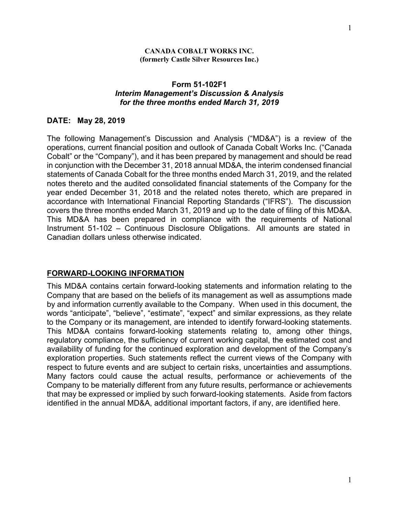#### **CANADA COBALT WORKS INC. (formerly Castle Silver Resources Inc.)**

### **Form 51-102F1** *Interim Management's Discussion & Analysis for the three months ended March 31, 2019*

### **DATE: May 28, 2019**

The following Management's Discussion and Analysis ("MD&A") is a review of the operations, current financial position and outlook of Canada Cobalt Works Inc. ("Canada Cobalt" or the "Company"), and it has been prepared by management and should be read in conjunction with the December 31, 2018 annual MD&A, the interim condensed financial statements of Canada Cobalt for the three months ended March 31, 2019, and the related notes thereto and the audited consolidated financial statements of the Company for the year ended December 31, 2018 and the related notes thereto, which are prepared in accordance with International Financial Reporting Standards ("IFRS"). The discussion covers the three months ended March 31, 2019 and up to the date of filing of this MD&A. This MD&A has been prepared in compliance with the requirements of National Instrument 51-102 – Continuous Disclosure Obligations. All amounts are stated in Canadian dollars unless otherwise indicated.

### **FORWARD-LOOKING INFORMATION**

This MD&A contains certain forward-looking statements and information relating to the Company that are based on the beliefs of its management as well as assumptions made by and information currently available to the Company. When used in this document, the words "anticipate", "believe", "estimate", "expect" and similar expressions, as they relate to the Company or its management, are intended to identify forward-looking statements. This MD&A contains forward-looking statements relating to, among other things, regulatory compliance, the sufficiency of current working capital, the estimated cost and availability of funding for the continued exploration and development of the Company's exploration properties. Such statements reflect the current views of the Company with respect to future events and are subject to certain risks, uncertainties and assumptions. Many factors could cause the actual results, performance or achievements of the Company to be materially different from any future results, performance or achievements that may be expressed or implied by such forward-looking statements. Aside from factors identified in the annual MD&A, additional important factors, if any, are identified here.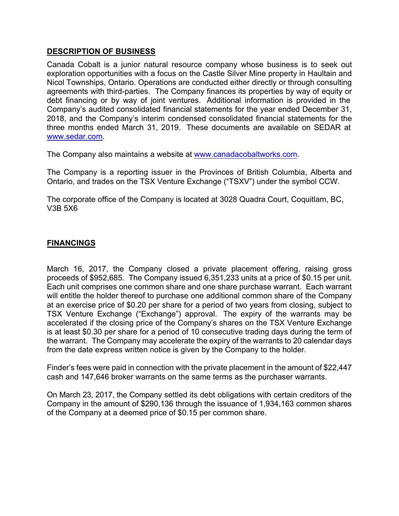# **DESCRIPTION OF BUSINESS**

Canada Cobalt is a junior natural resource company whose business is to seek out exploration opportunities with a focus on the Castle Silver Mine property in Haultain and Nicol Townships, Ontario. Operations are conducted either directly or through consulting agreements with third-parties. The Company finances its properties by way of equity or debt financing or by way of joint ventures. Additional information is provided in the Company's audited consolidated financial statements for the year ended December 31, 2018, and the Company's interim condensed consolidated financial statements for the three months ended March 31, 2019. These documents are available on SEDAR at www.sedar.com.

The Company also maintains a website at www.canadacobaltworks.com.

The Company is a reporting issuer in the Provinces of British Columbia, Alberta and Ontario, and trades on the TSX Venture Exchange ("TSXV") under the symbol CCW.

The corporate office of the Company is located at 3028 Quadra Court, Coquitlam, BC, V3B 5X6

# **FINANCINGS**

March 16, 2017, the Company closed a private placement offering, raising gross proceeds of \$952,685. The Company issued 6,351,233 units at a price of \$0.15 per unit. Each unit comprises one common share and one share purchase warrant. Each warrant will entitle the holder thereof to purchase one additional common share of the Company at an exercise price of \$0.20 per share for a period of two years from closing, subject to TSX Venture Exchange ("Exchange") approval. The expiry of the warrants may be accelerated if the closing price of the Company's shares on the TSX Venture Exchange is at least \$0.30 per share for a period of 10 consecutive trading days during the term of the warrant. The Company may accelerate the expiry of the warrants to 20 calendar days from the date express written notice is given by the Company to the holder.

Finder's fees were paid in connection with the private placement in the amount of \$22,447 cash and 147,646 broker warrants on the same terms as the purchaser warrants.

On March 23, 2017, the Company settled its debt obligations with certain creditors of the Company in the amount of \$290,136 through the issuance of 1,934,163 common shares of the Company at a deemed price of \$0.15 per common share.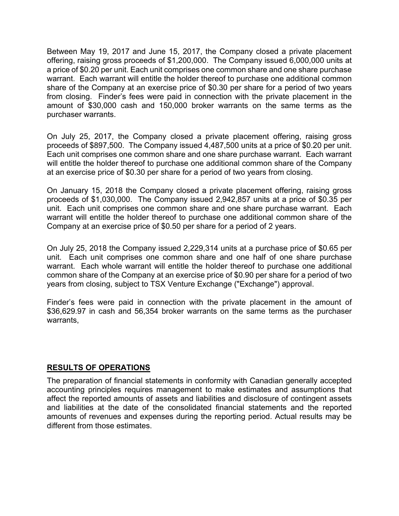Between May 19, 2017 and June 15, 2017, the Company closed a private placement offering, raising gross proceeds of \$1,200,000. The Company issued 6,000,000 units at a price of \$0.20 per unit. Each unit comprises one common share and one share purchase warrant. Each warrant will entitle the holder thereof to purchase one additional common share of the Company at an exercise price of \$0.30 per share for a period of two years from closing. Finder's fees were paid in connection with the private placement in the amount of \$30,000 cash and 150,000 broker warrants on the same terms as the purchaser warrants.

On July 25, 2017, the Company closed a private placement offering, raising gross proceeds of \$897,500. The Company issued 4,487,500 units at a price of \$0.20 per unit. Each unit comprises one common share and one share purchase warrant. Each warrant will entitle the holder thereof to purchase one additional common share of the Company at an exercise price of \$0.30 per share for a period of two years from closing.

On January 15, 2018 the Company closed a private placement offering, raising gross proceeds of \$1,030,000. The Company issued 2,942,857 units at a price of \$0.35 per unit. Each unit comprises one common share and one share purchase warrant. Each warrant will entitle the holder thereof to purchase one additional common share of the Company at an exercise price of \$0.50 per share for a period of 2 years.

On July 25, 2018 the Company issued 2,229,314 units at a purchase price of \$0.65 per unit. Each unit comprises one common share and one half of one share purchase warrant. Each whole warrant will entitle the holder thereof to purchase one additional common share of the Company at an exercise price of \$0.90 per share for a period of two years from closing, subject to TSX Venture Exchange ("Exchange") approval.

Finder's fees were paid in connection with the private placement in the amount of \$36,629.97 in cash and 56,354 broker warrants on the same terms as the purchaser warrants,

## **RESULTS OF OPERATIONS**

The preparation of financial statements in conformity with Canadian generally accepted accounting principles requires management to make estimates and assumptions that affect the reported amounts of assets and liabilities and disclosure of contingent assets and liabilities at the date of the consolidated financial statements and the reported amounts of revenues and expenses during the reporting period. Actual results may be different from those estimates.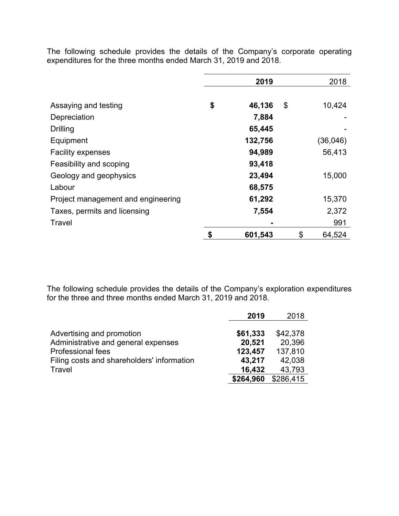The following schedule provides the details of the Company's corporate operating expenditures for the three months ended March 31, 2019 and 2018.

|                                    | 2019          | 2018         |
|------------------------------------|---------------|--------------|
| Assaying and testing               | \$<br>46,136  | \$<br>10,424 |
| Depreciation                       | 7,884         |              |
| <b>Drilling</b>                    | 65,445        |              |
| Equipment                          | 132,756       | (36, 046)    |
| <b>Facility expenses</b>           | 94,989        | 56,413       |
| Feasibility and scoping            | 93,418        |              |
| Geology and geophysics             | 23,494        | 15,000       |
| Labour                             | 68,575        |              |
| Project management and engineering | 61,292        | 15,370       |
| Taxes, permits and licensing       | 7,554         | 2,372        |
| Travel                             |               | 991          |
|                                    | \$<br>601,543 | \$<br>64,524 |

The following schedule provides the details of the Company's exploration expenditures for the three and three months ended March 31, 2019 and 2018.

|                                            | 2019      | 2018      |
|--------------------------------------------|-----------|-----------|
| Advertising and promotion                  | \$61,333  | \$42,378  |
| Administrative and general expenses        | 20,521    | 20,396    |
| <b>Professional fees</b>                   | 123,457   | 137,810   |
| Filing costs and shareholders' information | 43,217    | 42,038    |
| Travel                                     | 16,432    | 43,793    |
|                                            | \$264,960 | \$286,415 |